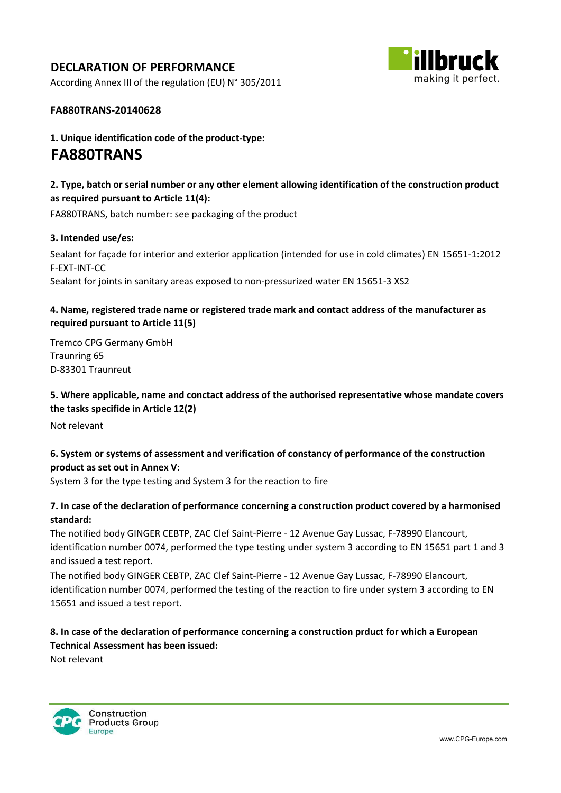# DECLARATION OF PERFORMANCE

According Annex III of the regulation (EU) N° 305/2011



#### FA880TRANS-20140628

1. Unique identification code of the product-type: FA880TRANS

## 2. Type, batch or serial number or any other element allowing identification of the construction product as required pursuant to Article 11(4):

FA880TRANS, batch number: see packaging of the product

#### 3. Intended use/es:

Sealant for façade for interior and exterior application (intended for use in cold climates) EN 15651-1:2012 F-EXT-INT-CC Sealant for joints in sanitary areas exposed to non-pressurized water EN 15651-3 XS2

### 4. Name, registered trade name or registered trade mark and contact address of the manufacturer as required pursuant to Article 11(5)

Tremco CPG Germany GmbH Traunring 65 D-83301 Traunreut

5. Where applicable, name and conctact address of the authorised representative whose mandate covers the tasks specifide in Article 12(2)

Not relevant

## 6. System or systems of assessment and verification of constancy of performance of the construction product as set out in Annex V:

System 3 for the type testing and System 3 for the reaction to fire

### 7. In case of the declaration of performance concerning a construction product covered by a harmonised standard:

The notified body GINGER CEBTP, ZAC Clef Saint-Pierre - 12 Avenue Gay Lussac, F-78990 Elancourt, identification number 0074, performed the type testing under system 3 according to EN 15651 part 1 and 3 and issued a test report.

The notified body GINGER CEBTP, ZAC Clef Saint-Pierre - 12 Avenue Gay Lussac, F-78990 Elancourt, identification number 0074, performed the testing of the reaction to fire under system 3 according to EN 15651 and issued a test report.

## 8. In case of the declaration of performance concerning a construction prduct for which a European Technical Assessment has been issued:

Not relevant

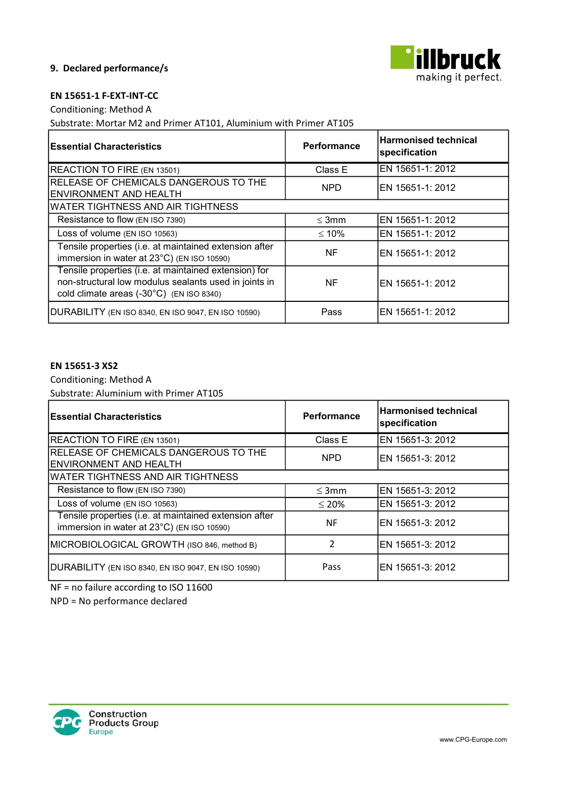

#### 9. Declared performance/s

#### EN 15651-1 F-EXT-INT-CC

Conditioning: Method A

Substrate: Mortar M2 and Primer AT101, Aluminium with Primer AT105

| <b>Essential Characteristics</b>                                                                                                                           | <b>Performance</b> | <b>Harmonised technical</b><br>specification |
|------------------------------------------------------------------------------------------------------------------------------------------------------------|--------------------|----------------------------------------------|
| REACTION TO FIRE (EN 13501)                                                                                                                                | Class E            | EN 15651-1: 2012                             |
| RELEASE OF CHEMICALS DANGEROUS TO THE<br><b>ENVIRONMENT AND HEALTH</b>                                                                                     | <b>NPD</b>         | EN 15651-1: 2012                             |
| <b>WATER TIGHTNESS AND AIR TIGHTNESS</b>                                                                                                                   |                    |                                              |
| Resistance to flow (EN ISO 7390)                                                                                                                           | $\leq$ 3mm         | EN 15651-1: 2012                             |
| Loss of volume (EN ISO 10563)                                                                                                                              | $\leq 10\%$        | EN 15651-1: 2012                             |
| Tensile properties (i.e. at maintained extension after<br>immersion in water at 23°C) (EN ISO 10590)                                                       | NF                 | EN 15651-1: 2012                             |
| Tensile properties (i.e. at maintained extension) for<br>non-structural low modulus sealants used in joints in<br>cold climate areas (-30°C) (EN ISO 8340) | NF                 | EN 15651-1: 2012                             |
| DURABILITY (EN ISO 8340, EN ISO 9047, EN ISO 10590)                                                                                                        | Pass               | EN 15651-1: 2012                             |

### EN 15651-3 XS2

Conditioning: Method A Substrate: Aluminium with Primer AT105

| <b>Essential Characteristics</b>                                                                     | Performance   | <b>Harmonised technical</b><br>specification |
|------------------------------------------------------------------------------------------------------|---------------|----------------------------------------------|
| REACTION TO FIRE (EN 13501)                                                                          | Class E       | EN 15651-3: 2012                             |
| RELEASE OF CHEMICALS DANGEROUS TO THE<br>ENVIRONMENT AND HEALTH                                      | <b>NPD</b>    | EN 15651-3: 2012                             |
| WATER TIGHTNESS AND AIR TIGHTNESS                                                                    |               |                                              |
| Resistance to flow (EN ISO 7390)                                                                     | $\leq$ 3mm    | EN 15651-3: 2012                             |
| Loss of volume (EN ISO 10563)                                                                        | $\leq 20\%$   | EN 15651-3: 2012                             |
| Tensile properties (i.e. at maintained extension after<br>immersion in water at 23°C) (EN ISO 10590) | ΝF            | EN 15651-3: 2012                             |
| MICROBIOLOGICAL GROWTH (ISO 846, method B)                                                           | $\mathcal{L}$ | EN 15651-3: 2012                             |
| DURABILITY (EN ISO 8340, EN ISO 9047, EN ISO 10590)                                                  | Pass          | IEN 15651-3: 2012                            |

NF = no failure according to ISO 11600

NPD = No performance declared